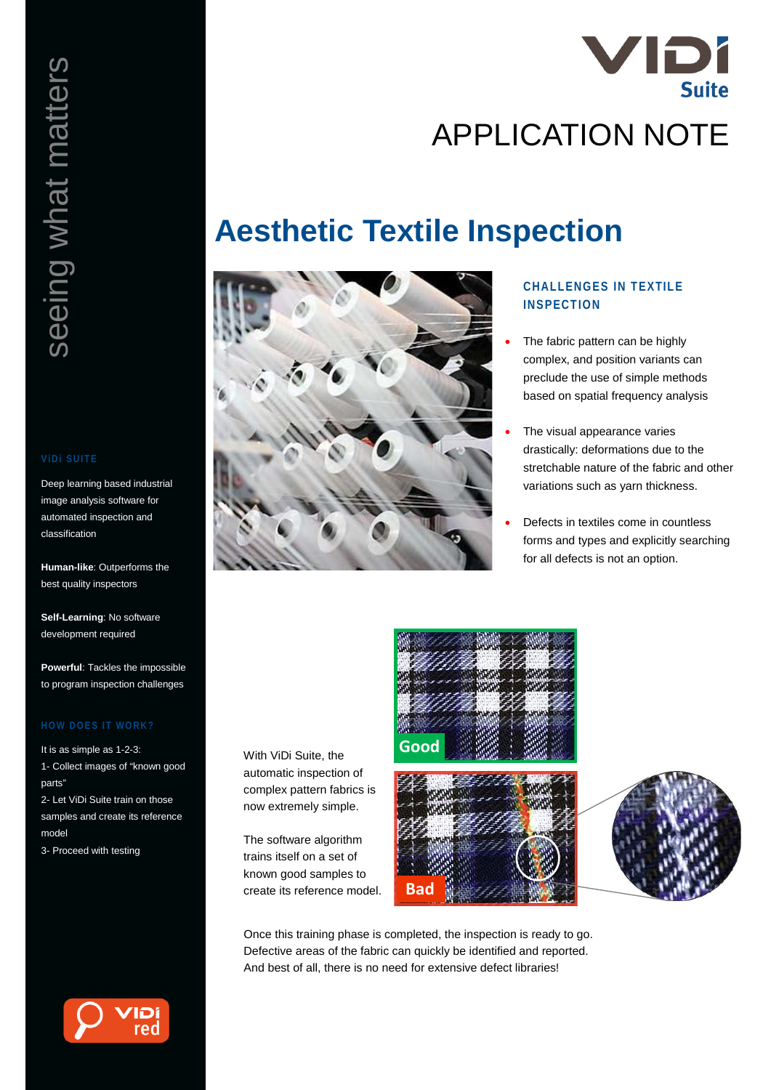

# **Aesthetic Textile Inspection**



With ViDi Suite, the automatic inspection of complex pattern fabrics is now extremely simple.

The software algorithm trains itself on a set of known good samples to create its reference model.

## **CHALLENGES IN TEXTILE INSPECTION**

- The fabric pattern can be highly complex, and position variants can preclude the use of simple methods based on spatial frequency analysis
- The visual appearance varies drastically: deformations due to the stretchable nature of the fabric and other variations such as yarn thickness.
- Defects in textiles come in countless forms and types and explicitly searching for all defects is not an option.







Once this training phase is completed, the inspection is ready to go. Defective areas of the fabric can quickly be identified and reported. And best of all, there is no need for extensive defect libraries!

Deep learning based industrial image analysis software for automated inspection and classification

**Human-like**: Outperforms the best quality inspectors

**Self-Learning**: No software development required

**Powerful**: Tackles the impossible to program inspection challenges

It is as simple as 1-2-3: 1- Collect images of "known good parts"

2- Let ViDi Suite train on those samples and create its reference model

3- Proceed with testing